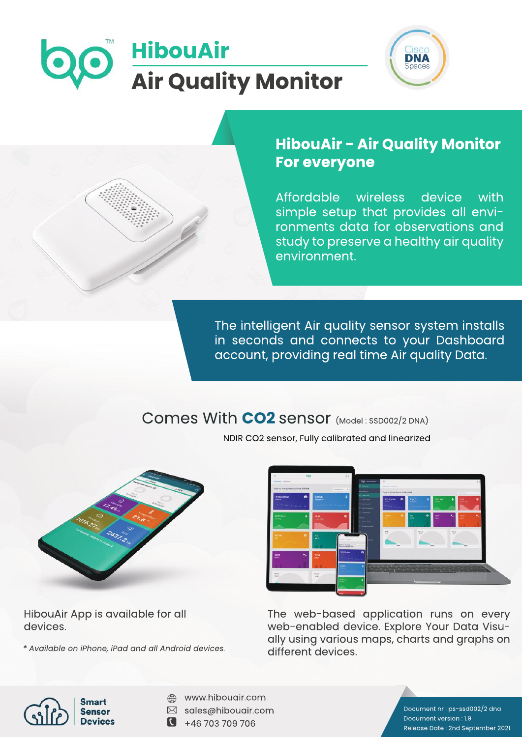



## **HibouAir - Air Quality Monitor For everyone**

Affordable wireless device with simple setup that provides all environments data for observations and study to preserve a healthy air quality environment.

The intelligent Air quality sensor system installs in seconds and connects to your Dashboard account, providing real time Air quality Data.

# Comes With CO2 sensor (Model: SSD002/2 DNA)



NDIR CO2 sensor, Fully calibrated and linearized



HibouAir App is available for all devices.

*\*AvailableoniPhone,iPadandallAndroiddevices.*



- www.hibouair.com
- $\boxtimes$  sales@hibouair.com
- $\bullet$  +46 703 709 706

Document nr : ps-ssd002/2 dna Document version: 1.9 Release Date: 2nd September 2021